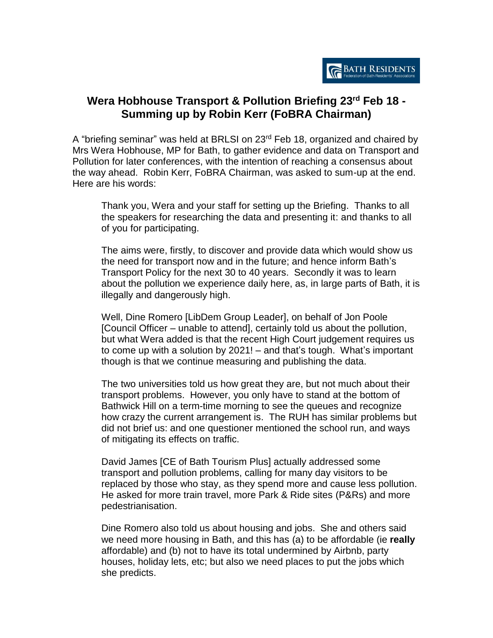

## **Wera Hobhouse Transport & Pollution Briefing 23rd Feb 18 - Summing up by Robin Kerr (FoBRA Chairman)**

A "briefing seminar" was held at BRLSI on 23<sup>rd</sup> Feb 18, organized and chaired by Mrs Wera Hobhouse, MP for Bath, to gather evidence and data on Transport and Pollution for later conferences, with the intention of reaching a consensus about the way ahead. Robin Kerr, FoBRA Chairman, was asked to sum-up at the end. Here are his words:

Thank you, Wera and your staff for setting up the Briefing. Thanks to all the speakers for researching the data and presenting it: and thanks to all of you for participating.

The aims were, firstly, to discover and provide data which would show us the need for transport now and in the future; and hence inform Bath's Transport Policy for the next 30 to 40 years. Secondly it was to learn about the pollution we experience daily here, as, in large parts of Bath, it is illegally and dangerously high.

Well, Dine Romero [LibDem Group Leader], on behalf of Jon Poole [Council Officer – unable to attend], certainly told us about the pollution, but what Wera added is that the recent High Court judgement requires us to come up with a solution by 2021! – and that's tough. What's important though is that we continue measuring and publishing the data.

The two universities told us how great they are, but not much about their transport problems. However, you only have to stand at the bottom of Bathwick Hill on a term-time morning to see the queues and recognize how crazy the current arrangement is. The RUH has similar problems but did not brief us: and one questioner mentioned the school run, and ways of mitigating its effects on traffic.

David James [CE of Bath Tourism Plus] actually addressed some transport and pollution problems, calling for many day visitors to be replaced by those who stay, as they spend more and cause less pollution. He asked for more train travel, more Park & Ride sites (P&Rs) and more pedestrianisation.

Dine Romero also told us about housing and jobs. She and others said we need more housing in Bath, and this has (a) to be affordable (ie **really** affordable) and (b) not to have its total undermined by Airbnb, party houses, holiday lets, etc; but also we need places to put the jobs which she predicts.